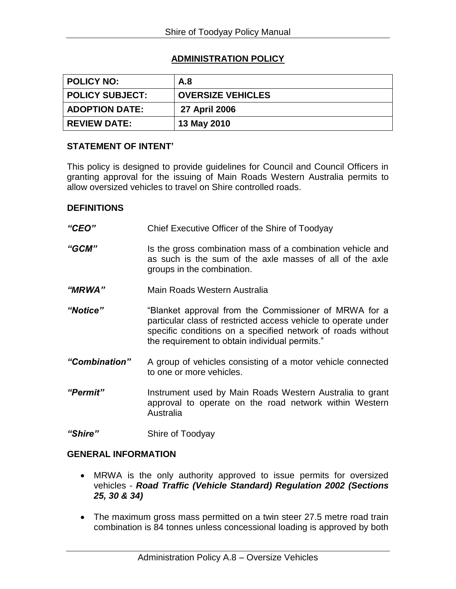# **ADMINISTRATION POLICY**

| <b>POLICY NO:</b>      | A.8                      |
|------------------------|--------------------------|
| <b>POLICY SUBJECT:</b> | <b>OVERSIZE VEHICLES</b> |
| <b>ADOPTION DATE:</b>  | 27 April 2006            |
| <b>REVIEW DATE:</b>    | 13 May 2010              |

#### **STATEMENT OF INTENT'**

This policy is designed to provide guidelines for Council and Council Officers in granting approval for the issuing of Main Roads Western Australia permits to allow oversized vehicles to travel on Shire controlled roads.

#### **DEFINITIONS**

- *"CEO"* Chief Executive Officer of the Shire of Toodyay "**GCM**" Is the gross combination mass of a combination vehicle and as such is the sum of the axle masses of all of the axle groups in the combination. *"MRWA"* Main Roads Western Australia *"Notice"* "Blanket approval from the Commissioner of MRWA for a particular class of restricted access vehicle to operate under specific conditions on a specified network of roads without the requirement to obtain individual permits." *"Combination"* A group of vehicles consisting of a motor vehicle connected to one or more vehicles. *"Permit"* Instrument used by Main Roads Western Australia to grant approval to operate on the road network within Western Australia
- *"Shire"* Shire of Toodyay

## **GENERAL INFORMATION**

- MRWA is the only authority approved to issue permits for oversized vehicles - *Road Traffic (Vehicle Standard) Regulation 2002 (Sections 25, 30 & 34)*
- The maximum gross mass permitted on a twin steer 27.5 metre road train combination is 84 tonnes unless concessional loading is approved by both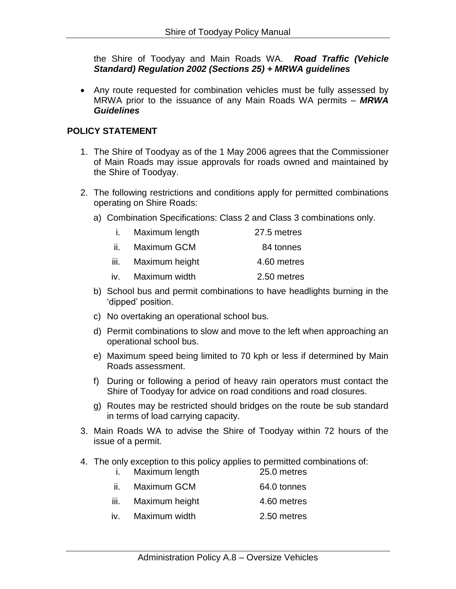the Shire of Toodyay and Main Roads WA. *Road Traffic (Vehicle Standard) Regulation 2002 (Sections 25) + MRWA guidelines*

 Any route requested for combination vehicles must be fully assessed by MRWA prior to the issuance of any Main Roads WA permits – *MRWA Guidelines*

### **POLICY STATEMENT**

- 1. The Shire of Toodyay as of the 1 May 2006 agrees that the Commissioner of Main Roads may issue approvals for roads owned and maintained by the Shire of Toodyay.
- 2. The following restrictions and conditions apply for permitted combinations operating on Shire Roads:
	- a) Combination Specifications: Class 2 and Class 3 combinations only.

| L.   | Maximum length | 27.5 metres |
|------|----------------|-------------|
| ii.  | Maximum GCM    | 84 tonnes   |
| iii. | Maximum height | 4.60 metres |
| iv.  | Maximum width  | 2.50 metres |

- b) School bus and permit combinations to have headlights burning in the 'dipped' position.
- c) No overtaking an operational school bus.
- d) Permit combinations to slow and move to the left when approaching an operational school bus.
- e) Maximum speed being limited to 70 kph or less if determined by Main Roads assessment.
- f) During or following a period of heavy rain operators must contact the Shire of Toodyay for advice on road conditions and road closures.
- g) Routes may be restricted should bridges on the route be sub standard in terms of load carrying capacity.
- 3. Main Roads WA to advise the Shire of Toodyay within 72 hours of the issue of a permit.
- 4. The only exception to this policy applies to permitted combinations of:<br> $\frac{1}{25.0}$  metres i. Maximum length

|      | <b>1. MAXILIUM IENGUL</b> | ZU.U IIIUUU |
|------|---------------------------|-------------|
| ii.  | Maximum GCM               | 64.0 tonnes |
| iii. | Maximum height            | 4.60 metres |
| iv.  | Maximum width             | 2.50 metres |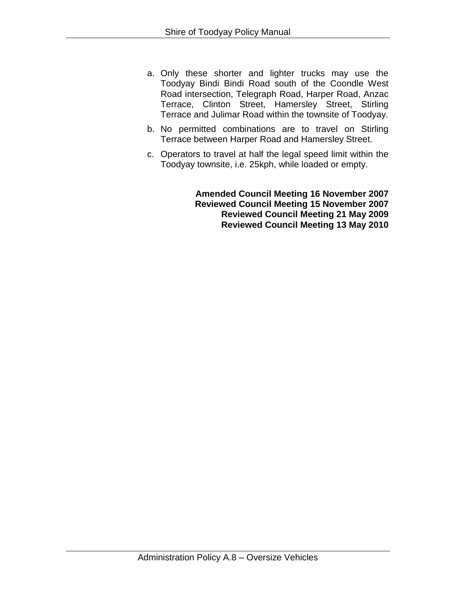- a. Only these shorter and lighter trucks may use the Toodyay Bindi Bindi Road south of the Coondle West Road intersection, Telegraph Road, Harper Road, Anzac Terrace, Clinton Street, Hamersley Street, Stirling Terrace and Julimar Road within the townsite of Toodyay.
- b. No permitted combinations are to travel on Stirling Terrace between Harper Road and Hamersley Street.
- c. Operators to travel at half the legal speed limit within the Toodyay townsite, i.e. 25kph, while loaded or empty.

**Amended Council Meeting 16 November 2007 Reviewed Council Meeting 15 November 2007 Reviewed Council Meeting 21 May 2009 Reviewed Council Meeting 13 May 2010**